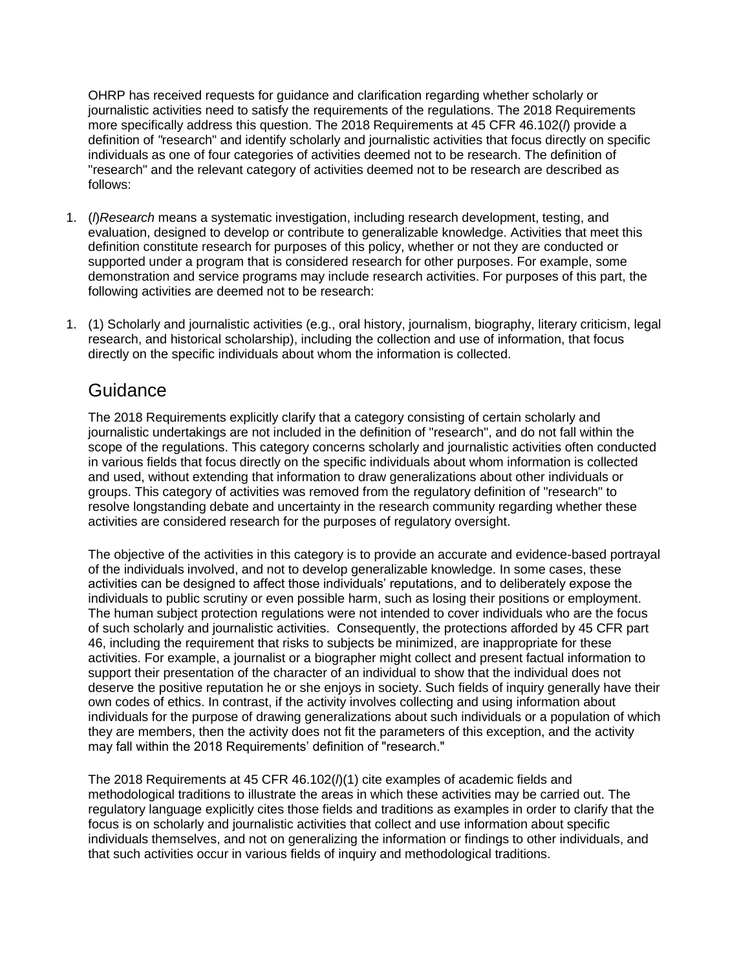OHRP has received requests for guidance and clarification regarding whether scholarly or journalistic activities need to satisfy the requirements of the regulations. The 2018 Requirements more specifically address this question. The 2018 Requirements at 45 CFR 46.102(*l*) provide a definition of *"*research" and identify scholarly and journalistic activities that focus directly on specific individuals as one of four categories of activities deemed not to be research. The definition of "research" and the relevant category of activities deemed not to be research are described as follows:

- 1. (*l*)*Research* means a systematic investigation, including research development, testing, and evaluation, designed to develop or contribute to generalizable knowledge. Activities that meet this definition constitute research for purposes of this policy, whether or not they are conducted or supported under a program that is considered research for other purposes. For example, some demonstration and service programs may include research activities. For purposes of this part, the following activities are deemed not to be research:
- 1. (1) Scholarly and journalistic activities (e.g., oral history, journalism, biography, literary criticism, legal research, and historical scholarship), including the collection and use of information, that focus directly on the specific individuals about whom the information is collected.

## **Guidance**

The 2018 Requirements explicitly clarify that a category consisting of certain scholarly and journalistic undertakings are not included in the definition of "research", and do not fall within the scope of the regulations. This category concerns scholarly and journalistic activities often conducted in various fields that focus directly on the specific individuals about whom information is collected and used, without extending that information to draw generalizations about other individuals or groups. This category of activities was removed from the regulatory definition of "research" to resolve longstanding debate and uncertainty in the research community regarding whether these activities are considered research for the purposes of regulatory oversight.

The objective of the activities in this category is to provide an accurate and evidence-based portrayal of the individuals involved, and not to develop generalizable knowledge. In some cases, these activities can be designed to affect those individuals' reputations, and to deliberately expose the individuals to public scrutiny or even possible harm, such as losing their positions or employment. The human subject protection regulations were not intended to cover individuals who are the focus of such scholarly and journalistic activities. Consequently, the protections afforded by 45 CFR part 46, including the requirement that risks to subjects be minimized, are inappropriate for these activities. For example, a journalist or a biographer might collect and present factual information to support their presentation of the character of an individual to show that the individual does not deserve the positive reputation he or she enjoys in society. Such fields of inquiry generally have their own codes of ethics. In contrast, if the activity involves collecting and using information about individuals for the purpose of drawing generalizations about such individuals or a population of which they are members, then the activity does not fit the parameters of this exception, and the activity may fall within the 2018 Requirements' definition of "research."

The 2018 Requirements at 45 CFR 46.102(*l*)(1) cite examples of academic fields and methodological traditions to illustrate the areas in which these activities may be carried out. The regulatory language explicitly cites those fields and traditions as examples in order to clarify that the focus is on scholarly and journalistic activities that collect and use information about specific individuals themselves, and not on generalizing the information or findings to other individuals, and that such activities occur in various fields of inquiry and methodological traditions.